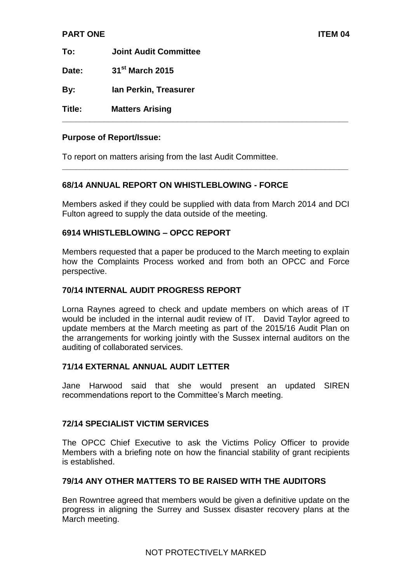#### **PART ONE ITEM 04**

**To: Joint Audit Committee Date: 31st March 2015**

**By: Ian Perkin, Treasurer**

**Title: Matters Arising**

### **Purpose of Report/Issue:**

To report on matters arising from the last Audit Committee.

#### **68/14 ANNUAL REPORT ON WHISTLEBLOWING - FORCE**

Members asked if they could be supplied with data from March 2014 and DCI Fulton agreed to supply the data outside of the meeting.

**\_\_\_\_\_\_\_\_\_\_\_\_\_\_\_\_\_\_\_\_\_\_\_\_\_\_\_\_\_\_\_\_\_\_\_\_\_\_\_\_\_\_\_\_\_\_\_\_\_\_\_\_\_\_\_\_\_\_\_\_\_\_**

**\_\_\_\_\_\_\_\_\_\_\_\_\_\_\_\_\_\_\_\_\_\_\_\_\_\_\_\_\_\_\_\_\_\_\_\_\_\_\_\_\_\_\_\_\_\_\_\_\_\_\_\_\_\_\_\_\_\_\_\_\_\_**

#### **6914 WHISTLEBLOWING – OPCC REPORT**

Members requested that a paper be produced to the March meeting to explain how the Complaints Process worked and from both an OPCC and Force perspective.

#### **70/14 INTERNAL AUDIT PROGRESS REPORT**

Lorna Raynes agreed to check and update members on which areas of IT would be included in the internal audit review of IT. David Taylor agreed to update members at the March meeting as part of the 2015/16 Audit Plan on the arrangements for working jointly with the Sussex internal auditors on the auditing of collaborated services.

#### **71/14 EXTERNAL ANNUAL AUDIT LETTER**

Jane Harwood said that she would present an updated SIREN recommendations report to the Committee's March meeting.

#### **72/14 SPECIALIST VICTIM SERVICES**

The OPCC Chief Executive to ask the Victims Policy Officer to provide Members with a briefing note on how the financial stability of grant recipients is established.

# **79/14 ANY OTHER MATTERS TO BE RAISED WITH THE AUDITORS**

Ben Rowntree agreed that members would be given a definitive update on the progress in aligning the Surrey and Sussex disaster recovery plans at the March meeting.